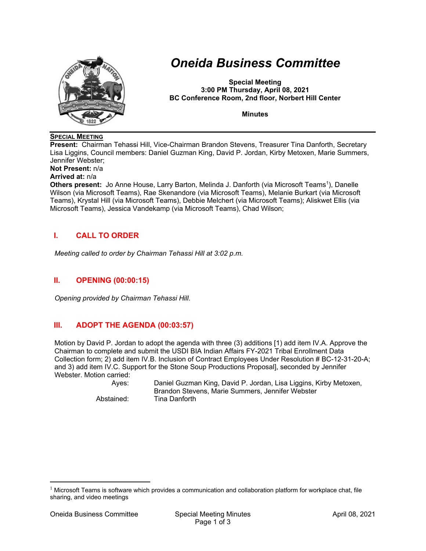

# *Oneida Business Committee*

**Special Meeting 3:00 PM Thursday, April 08, 2021 BC Conference Room, 2nd floor, Norbert Hill Center** 

**Minutes** 

#### **SPECIAL MEETING**

**Present:** Chairman Tehassi Hill, Vice-Chairman Brandon Stevens, Treasurer Tina Danforth, Secretary Lisa Liggins, Council members: Daniel Guzman King, David P. Jordan, Kirby Metoxen, Marie Summers, Jennifer Webster;

**Not Present:** n/a

#### **Arrived at:** n/a

**Others present:** Jo Anne House, Larry Barton, Melinda J. Danforth (via Microsoft Teams<sup>1</sup>), Danelle Wilson (via Microsoft Teams), Rae Skenandore (via Microsoft Teams), Melanie Burkart (via Microsoft Teams), Krystal Hill (via Microsoft Teams), Debbie Melchert (via Microsoft Teams); Aliskwet Ellis (via Microsoft Teams), Jessica Vandekamp (via Microsoft Teams), Chad Wilson;

## **I. CALL TO ORDER**

*Meeting called to order by Chairman Tehassi Hill at 3:02 p.m.* 

## **II. OPENING (00:00:15)**

*Opening provided by Chairman Tehassi Hill.* 

## **III. ADOPT THE AGENDA (00:03:57)**

Motion by David P. Jordan to adopt the agenda with three (3) additions [1) add item IV.A. Approve the Chairman to complete and submit the USDI BIA Indian Affairs FY-2021 Tribal Enrollment Data Collection form; 2) add item IV.B. Inclusion of Contract Employees Under Resolution # BC-12-31-20-A; and 3) add item IV.C. Support for the Stone Soup Productions Proposal], seconded by Jennifer Webster. Motion carried:

 Ayes: Daniel Guzman King, David P. Jordan, Lisa Liggins, Kirby Metoxen, Brandon Stevens, Marie Summers, Jennifer Webster Abstained: Tina Danforth

 $1$  Microsoft Teams is software which provides a communication and collaboration platform for workplace chat, file sharing, and video meetings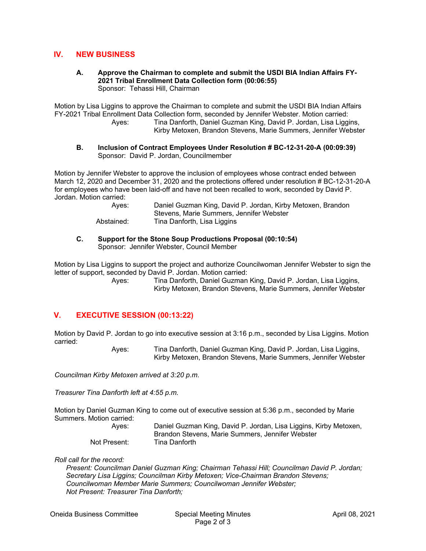#### **IV. NEW BUSINESS**

**A. Approve the Chairman to complete and submit the USDI BIA Indian Affairs FY-2021 Tribal Enrollment Data Collection form (00:06:55)**  Sponsor: Tehassi Hill, Chairman

Motion by Lisa Liggins to approve the Chairman to complete and submit the USDI BIA Indian Affairs FY-2021 Tribal Enrollment Data Collection form, seconded by Jennifer Webster. Motion carried: Tina Danforth, Daniel Guzman King, David P. Jordan, Lisa Liggins, Kirby Metoxen, Brandon Stevens, Marie Summers, Jennifer Webster

**B. Inclusion of Contract Employees Under Resolution # BC-12-31-20-A (00:09:39)**  Sponsor: David P. Jordan, Councilmember

Motion by Jennifer Webster to approve the inclusion of employees whose contract ended between March 12, 2020 and December 31, 2020 and the protections offered under resolution # BC-12-31-20-A for employees who have been laid-off and have not been recalled to work, seconded by David P. Jordan. Motion carried:

| Ayes:      | Daniel Guzman King, David P. Jordan, Kirby Metoxen, Brandon |
|------------|-------------------------------------------------------------|
|            | Stevens, Marie Summers, Jennifer Webster                    |
| Abstained: | Tina Danforth, Lisa Liggins                                 |

#### **C. Support for the Stone Soup Productions Proposal (00:10:54)**  Sponsor: Jennifer Webster, Council Member

Motion by Lisa Liggins to support the project and authorize Councilwoman Jennifer Webster to sign the letter of support, seconded by David P. Jordan. Motion carried:

 Ayes: Tina Danforth, Daniel Guzman King, David P. Jordan, Lisa Liggins, Kirby Metoxen, Brandon Stevens, Marie Summers, Jennifer Webster

# **V. EXECUTIVE SESSION (00:13:22)**

Motion by David P. Jordan to go into executive session at 3:16 p.m., seconded by Lisa Liggins. Motion carried:

 Ayes: Tina Danforth, Daniel Guzman King, David P. Jordan, Lisa Liggins, Kirby Metoxen, Brandon Stevens, Marie Summers, Jennifer Webster

*Councilman Kirby Metoxen arrived at 3:20 p.m.* 

*Treasurer Tina Danforth left at 4:55 p.m.* 

Motion by Daniel Guzman King to come out of executive session at 5:36 p.m., seconded by Marie Summers. Motion carried:

| Aves:        | Daniel Guzman King, David P. Jordan, Lisa Liggins, Kirby Metoxen, |
|--------------|-------------------------------------------------------------------|
|              | Brandon Stevens, Marie Summers, Jennifer Webster                  |
| Not Present: | Tina Danforth                                                     |

*Roll call for the record:* 

 *Present: Councilman Daniel Guzman King; Chairman Tehassi Hill; Councilman David P. Jordan; Secretary Lisa Liggins; Councilman Kirby Metoxen; Vice-Chairman Brandon Stevens; Councilwoman Member Marie Summers; Councilwoman Jennifer Webster; Not Present: Treasurer Tina Danforth;*